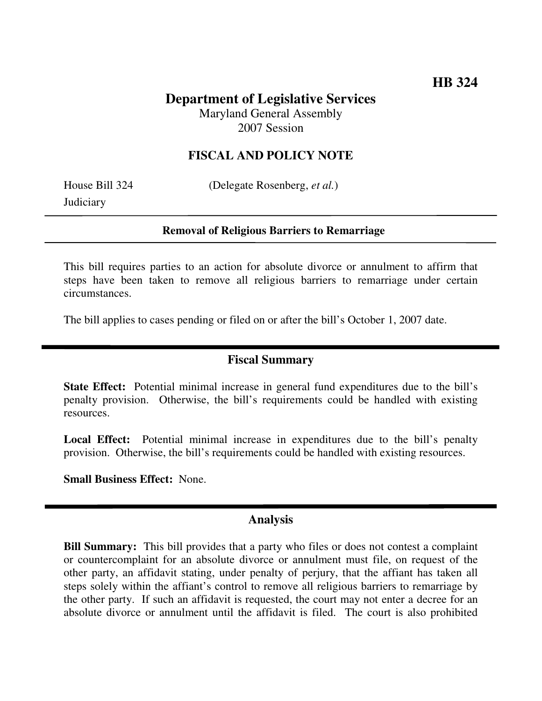## **Department of Legislative Services** Maryland General Assembly 2007 Session

### **FISCAL AND POLICY NOTE**

House Bill 324 (Delegate Rosenberg, *et al.*)

**Judiciary** 

#### **Removal of Religious Barriers to Remarriage**

This bill requires parties to an action for absolute divorce or annulment to affirm that steps have been taken to remove all religious barriers to remarriage under certain circumstances.

The bill applies to cases pending or filed on or after the bill's October 1, 2007 date.

### **Fiscal Summary**

**State Effect:** Potential minimal increase in general fund expenditures due to the bill's penalty provision. Otherwise, the bill's requirements could be handled with existing resources.

**Local Effect:** Potential minimal increase in expenditures due to the bill's penalty provision. Otherwise, the bill's requirements could be handled with existing resources.

**Small Business Effect:** None.

### **Analysis**

**Bill Summary:** This bill provides that a party who files or does not contest a complaint or countercomplaint for an absolute divorce or annulment must file, on request of the other party, an affidavit stating, under penalty of perjury, that the affiant has taken all steps solely within the affiant's control to remove all religious barriers to remarriage by the other party. If such an affidavit is requested, the court may not enter a decree for an absolute divorce or annulment until the affidavit is filed. The court is also prohibited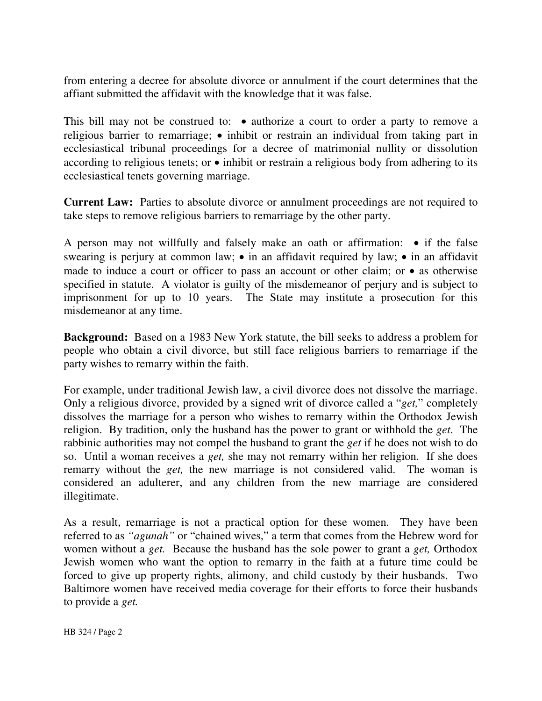from entering a decree for absolute divorce or annulment if the court determines that the affiant submitted the affidavit with the knowledge that it was false.

This bill may not be construed to:  $\bullet$  authorize a court to order a party to remove a religious barrier to remarriage; • inhibit or restrain an individual from taking part in ecclesiastical tribunal proceedings for a decree of matrimonial nullity or dissolution according to religious tenets; or • inhibit or restrain a religious body from adhering to its ecclesiastical tenets governing marriage.

**Current Law:** Parties to absolute divorce or annulment proceedings are not required to take steps to remove religious barriers to remarriage by the other party.

A person may not willfully and falsely make an oath or affirmation: • if the false swearing is perjury at common law; • in an affidavit required by law; • in an affidavit made to induce a court or officer to pass an account or other claim; or • as otherwise specified in statute. A violator is guilty of the misdemeanor of perjury and is subject to imprisonment for up to 10 years. The State may institute a prosecution for this misdemeanor at any time.

**Background:** Based on a 1983 New York statute, the bill seeks to address a problem for people who obtain a civil divorce, but still face religious barriers to remarriage if the party wishes to remarry within the faith.

For example, under traditional Jewish law, a civil divorce does not dissolve the marriage. Only a religious divorce, provided by a signed writ of divorce called a "*get,*" completely dissolves the marriage for a person who wishes to remarry within the Orthodox Jewish religion. By tradition, only the husband has the power to grant or withhold the *get*. The rabbinic authorities may not compel the husband to grant the *get* if he does not wish to do so. Until a woman receives a *get,* she may not remarry within her religion. If she does remarry without the *get,* the new marriage is not considered valid. The woman is considered an adulterer, and any children from the new marriage are considered illegitimate.

As a result, remarriage is not a practical option for these women. They have been referred to as *"agunah"* or "chained wives," a term that comes from the Hebrew word for women without a *get.* Because the husband has the sole power to grant a *get,* Orthodox Jewish women who want the option to remarry in the faith at a future time could be forced to give up property rights, alimony, and child custody by their husbands. Two Baltimore women have received media coverage for their efforts to force their husbands to provide a *get.*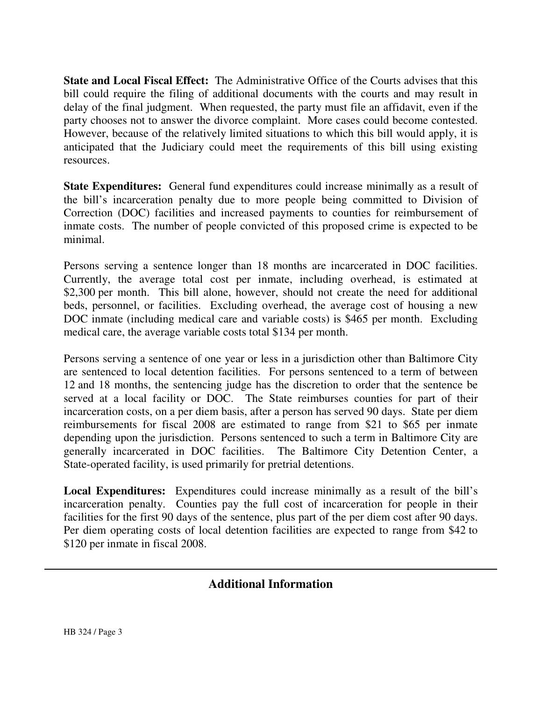**State and Local Fiscal Effect:** The Administrative Office of the Courts advises that this bill could require the filing of additional documents with the courts and may result in delay of the final judgment. When requested, the party must file an affidavit, even if the party chooses not to answer the divorce complaint. More cases could become contested. However, because of the relatively limited situations to which this bill would apply, it is anticipated that the Judiciary could meet the requirements of this bill using existing resources.

**State Expenditures:** General fund expenditures could increase minimally as a result of the bill's incarceration penalty due to more people being committed to Division of Correction (DOC) facilities and increased payments to counties for reimbursement of inmate costs. The number of people convicted of this proposed crime is expected to be minimal.

Persons serving a sentence longer than 18 months are incarcerated in DOC facilities. Currently, the average total cost per inmate, including overhead, is estimated at \$2,300 per month. This bill alone, however, should not create the need for additional beds, personnel, or facilities. Excluding overhead, the average cost of housing a new DOC inmate (including medical care and variable costs) is \$465 per month. Excluding medical care, the average variable costs total \$134 per month.

Persons serving a sentence of one year or less in a jurisdiction other than Baltimore City are sentenced to local detention facilities. For persons sentenced to a term of between 12 and 18 months, the sentencing judge has the discretion to order that the sentence be served at a local facility or DOC. The State reimburses counties for part of their incarceration costs, on a per diem basis, after a person has served 90 days. State per diem reimbursements for fiscal 2008 are estimated to range from \$21 to \$65 per inmate depending upon the jurisdiction. Persons sentenced to such a term in Baltimore City are generally incarcerated in DOC facilities. The Baltimore City Detention Center, a State-operated facility, is used primarily for pretrial detentions.

**Local Expenditures:** Expenditures could increase minimally as a result of the bill's incarceration penalty. Counties pay the full cost of incarceration for people in their facilities for the first 90 days of the sentence, plus part of the per diem cost after 90 days. Per diem operating costs of local detention facilities are expected to range from \$42 to \$120 per inmate in fiscal 2008.

# **Additional Information**